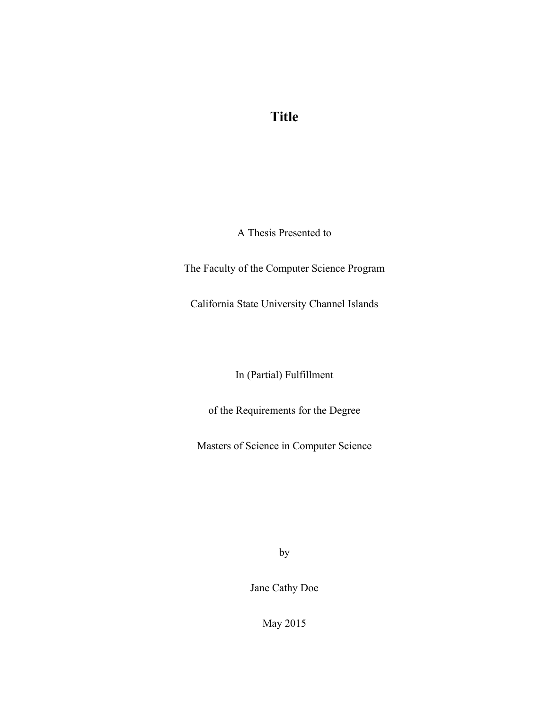### **Title**

A Thesis Presented to

The Faculty of the Computer Science Program

California State University Channel Islands

In (Partial) Fulfillment

of the Requirements for the Degree

Masters of Science in Computer Science

by

Jane Cathy Doe

May 2015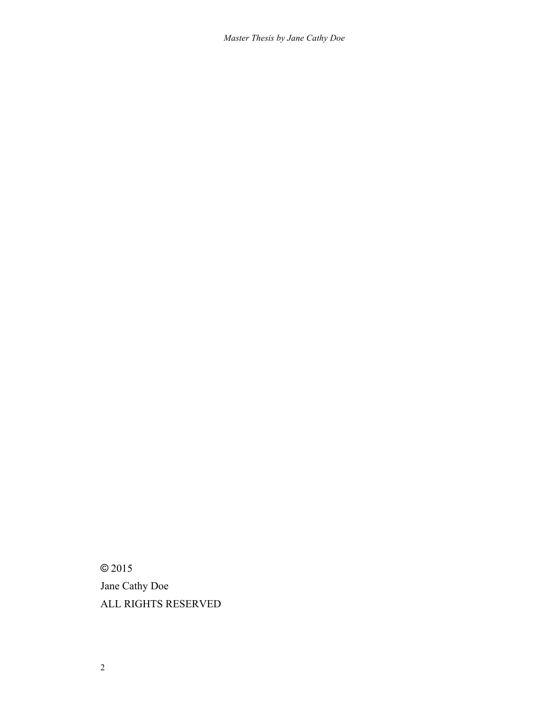*Master Thesis by Jane Cathy Doe*

© 2015 Jane Cathy Doe ALL RIGHTS RESERVED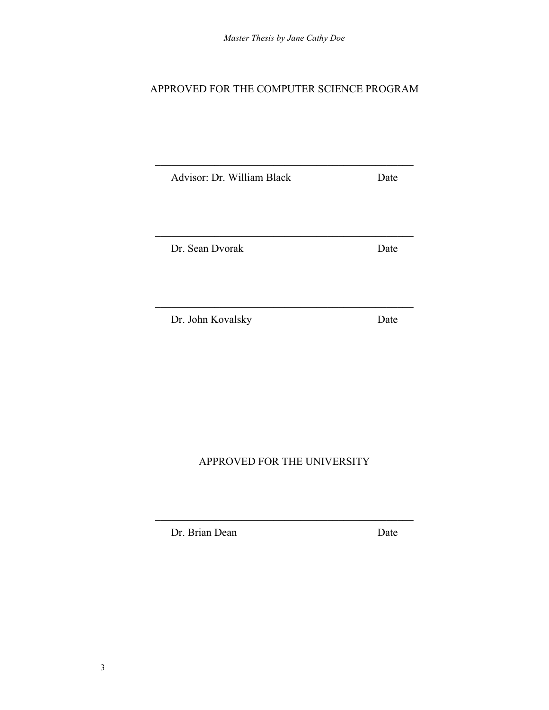#### APPROVED FOR THE COMPUTER SCIENCE PROGRAM

 $\mathcal{L}_\text{max}$  , and the contract of the contract of the contract of the contract of the contract of the contract of the contract of the contract of the contract of the contract of the contract of the contract of the contr

 $\mathcal{L}_\text{max}$  and the contract of the contract of the contract of the contract of the contract of the contract of the contract of the contract of the contract of the contract of the contract of the contract of the contrac

 $\mathcal{L}_\text{max}$  , and the contract of the contract of the contract of the contract of the contract of the contract of the contract of the contract of the contract of the contract of the contract of the contract of the contr

Advisor: Dr. William Black Date

Dr. Sean Dvorak Date

Dr. John Kovalsky Date

#### APPROVED FOR THE UNIVERSITY

 $\mathcal{L}_\text{max}$  , and the contract of the contract of the contract of the contract of the contract of the contract of the contract of the contract of the contract of the contract of the contract of the contract of the contr

Dr. Brian Dean Date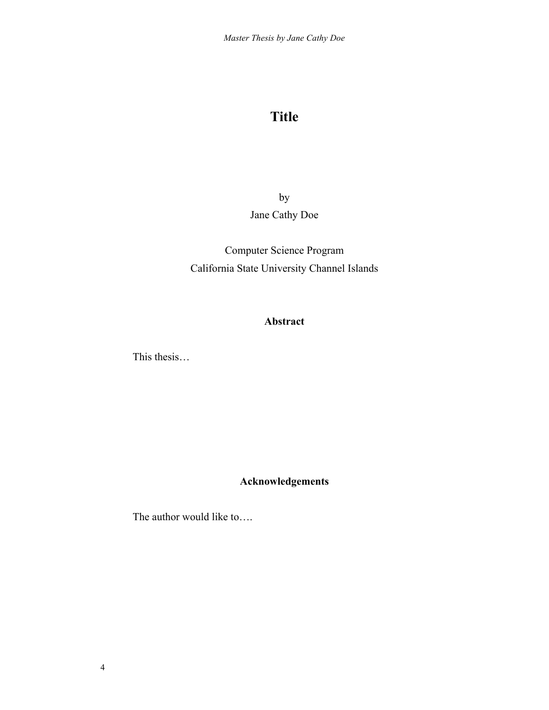### **Title**

by Jane Cathy Doe

Computer Science Program California State University Channel Islands

#### **Abstract**

This thesis…

#### **Acknowledgements**

The author would like to….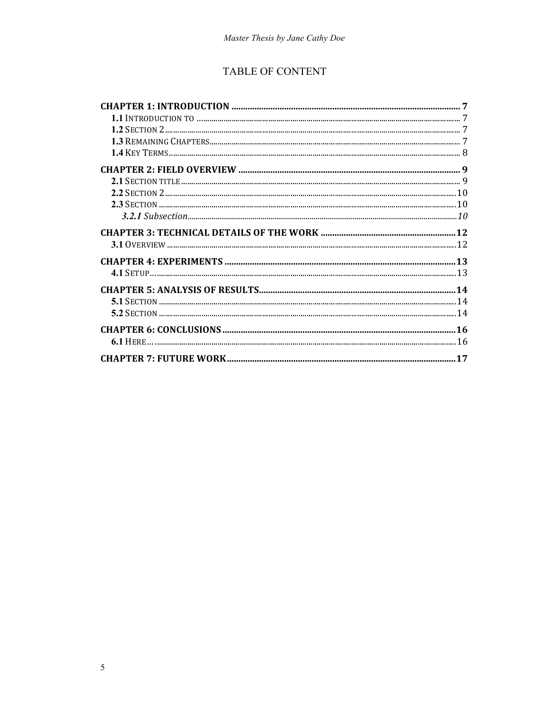#### TABLE OF CONTENT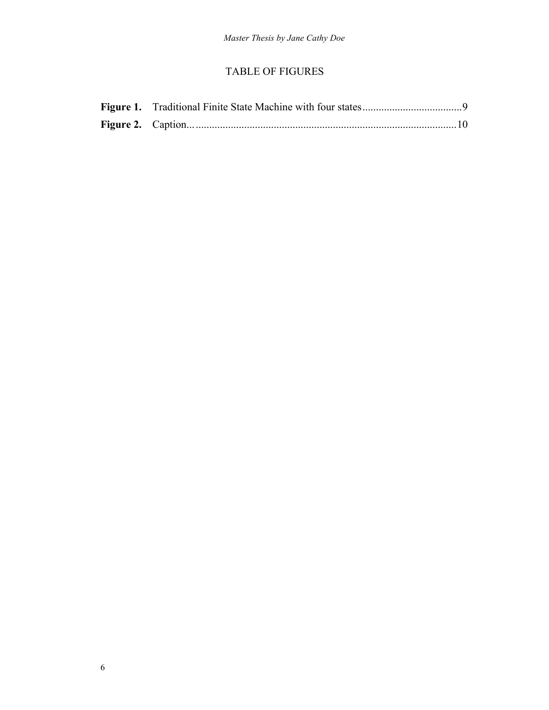#### TABLE OF FIGURES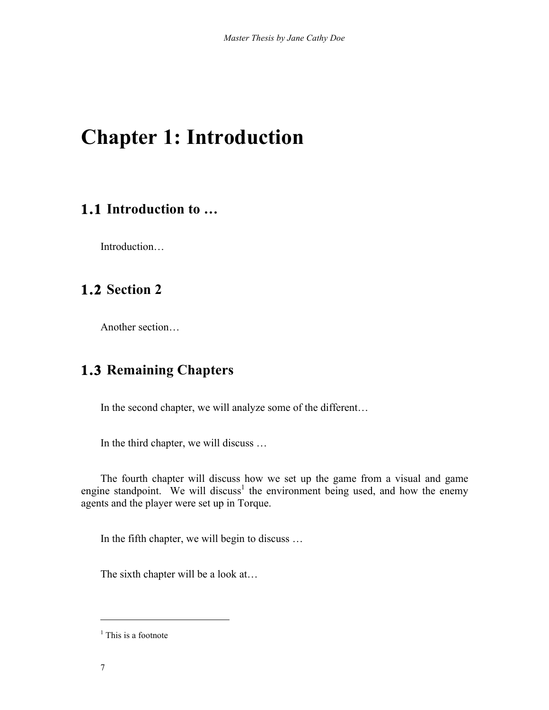## **Chapter 1: Introduction**

#### **1.1 Introduction to …**

Introduction…

#### **1.2 Section 2**

Another section…

#### **1.3 Remaining Chapters**

In the second chapter, we will analyze some of the different…

In the third chapter, we will discuss …

The fourth chapter will discuss how we set up the game from a visual and game engine standpoint. We will discuss<sup>1</sup> the environment being used, and how the enemy agents and the player were set up in Torque.

In the fifth chapter, we will begin to discuss …

The sixth chapter will be a look at...

1

 $<sup>1</sup>$  This is a footnote</sup>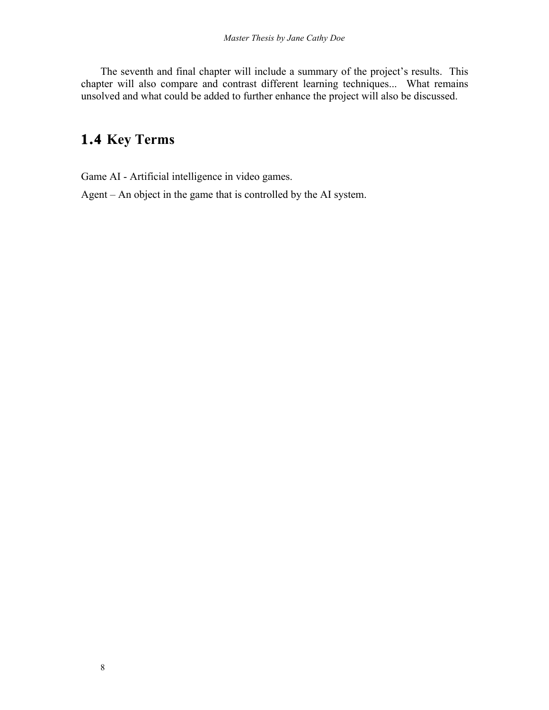The seventh and final chapter will include a summary of the project's results. This chapter will also compare and contrast different learning techniques... What remains unsolved and what could be added to further enhance the project will also be discussed.

#### **1.4 Key Terms**

Game AI - Artificial intelligence in video games.

Agent – An object in the game that is controlled by the AI system.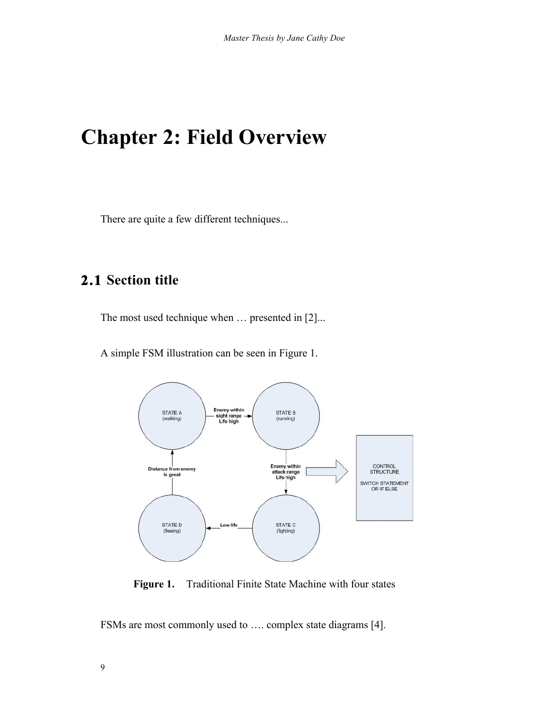## **Chapter 2: Field Overview**

There are quite a few different techniques...

### **2.1 Section title**

The most used technique when ... presented in [2]...

A simple FSM illustration can be seen in Figure 1.



**Figure 1.** Traditional Finite State Machine with four states

FSMs are most commonly used to …. complex state diagrams [4].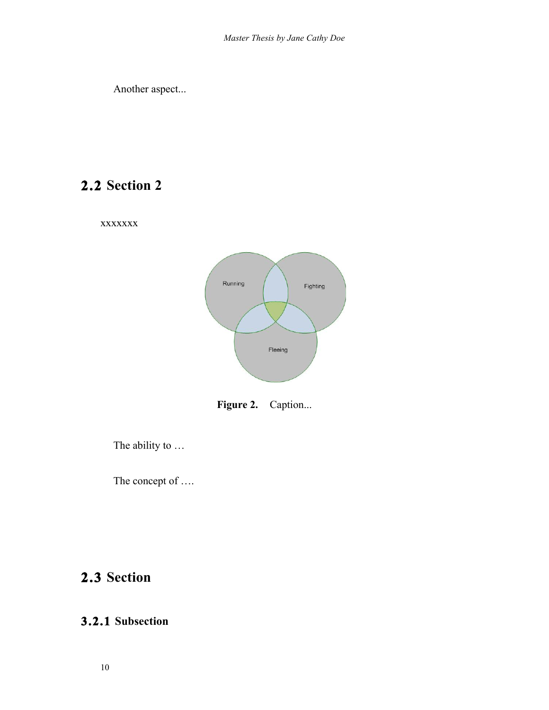Another aspect...

### **2.2 Section 2**

xxxxxxx





The ability to …

The concept of ….

## **2.3 Section**

#### **3.2.1 Subsection**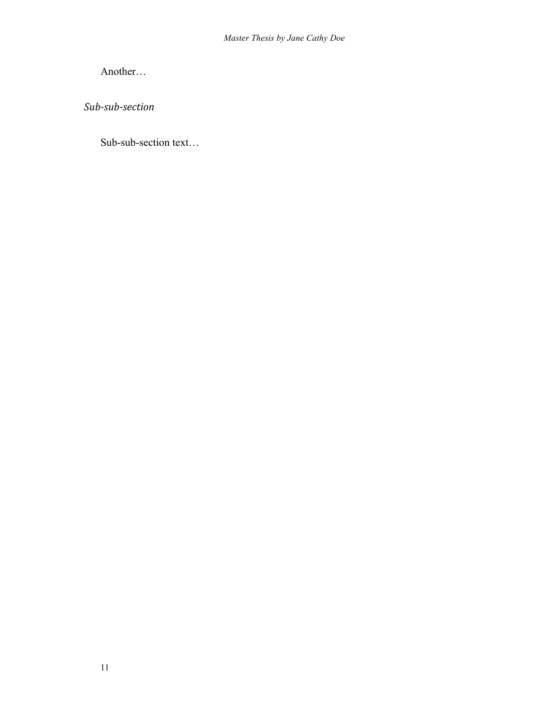Another…

*Sub-sub-section*

Sub-sub-section text…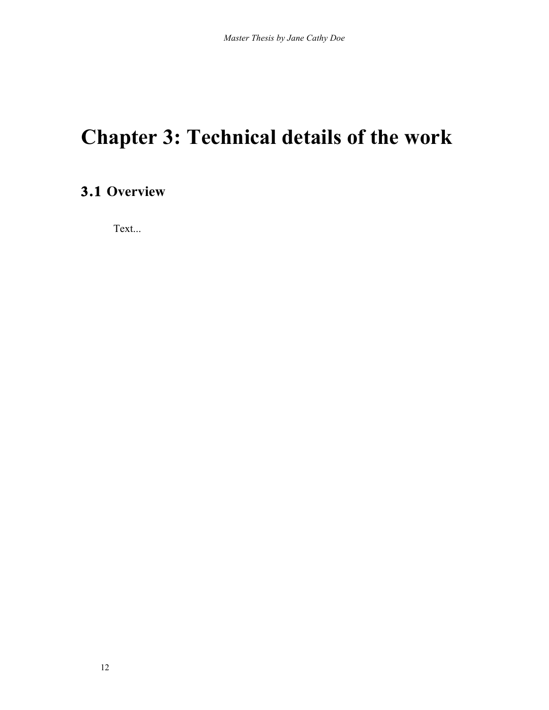## **Chapter 3: Technical details of the work**

## **3.1 Overview**

Text...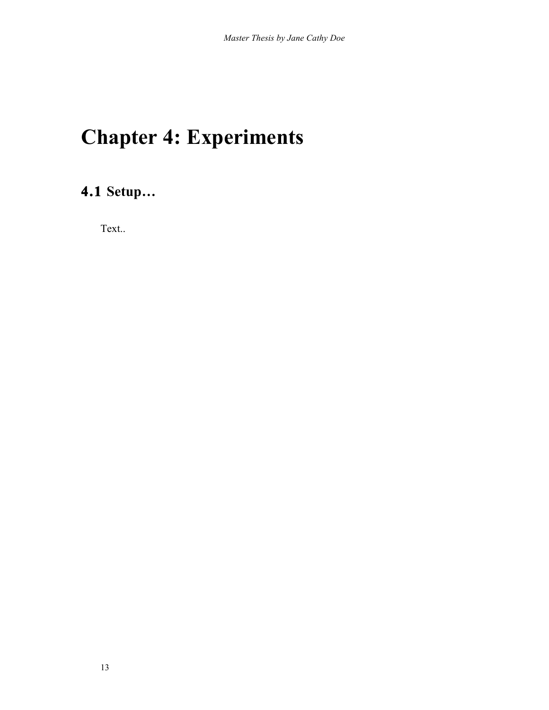# **Chapter 4: Experiments**

## **4.1 Setup…**

Text..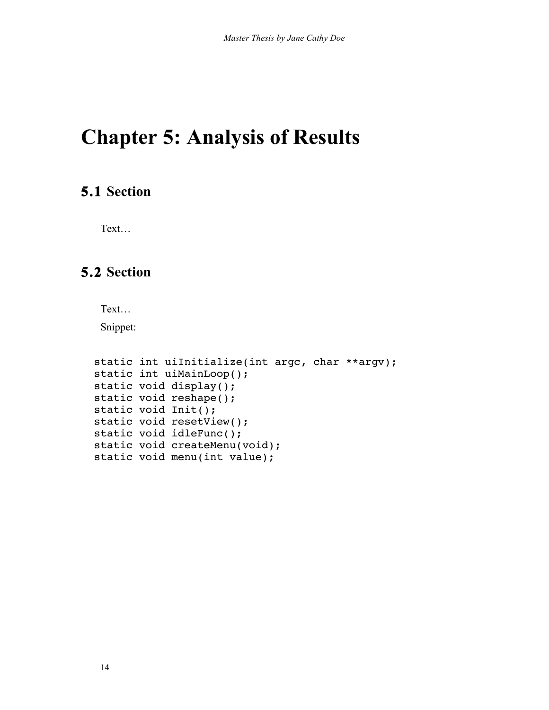## **Chapter 5: Analysis of Results**

#### **5.1 Section**

Text…

#### **5.2 Section**

Text…

Snippet:

```
static int uiInitialize(int argc, char **argv);
static int uiMainLoop();
static void display();
static void reshape();
static void Init();
static void resetView();
static void idleFunc();
static void createMenu(void);
static void menu(int value);
```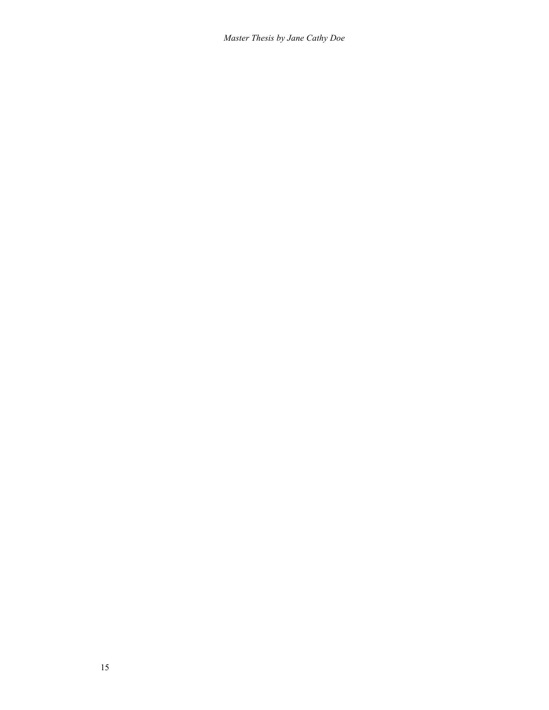*Master Thesis by Jane Cathy Doe*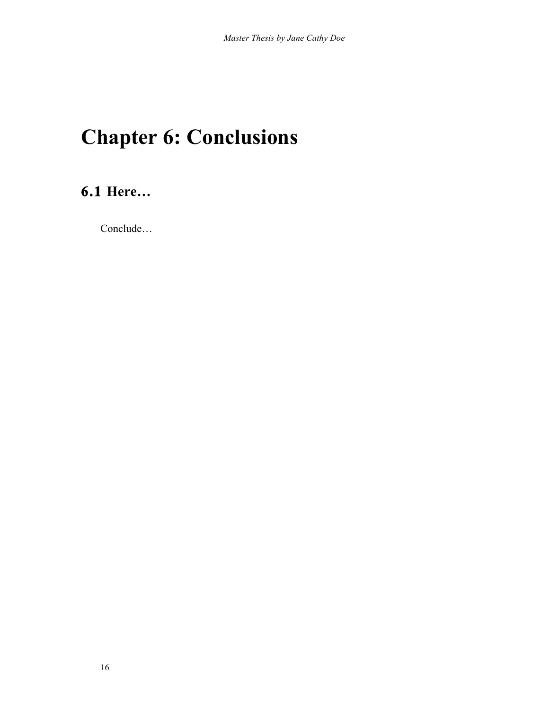# **Chapter 6: Conclusions**

## **6.1 Here…**

Conclude…